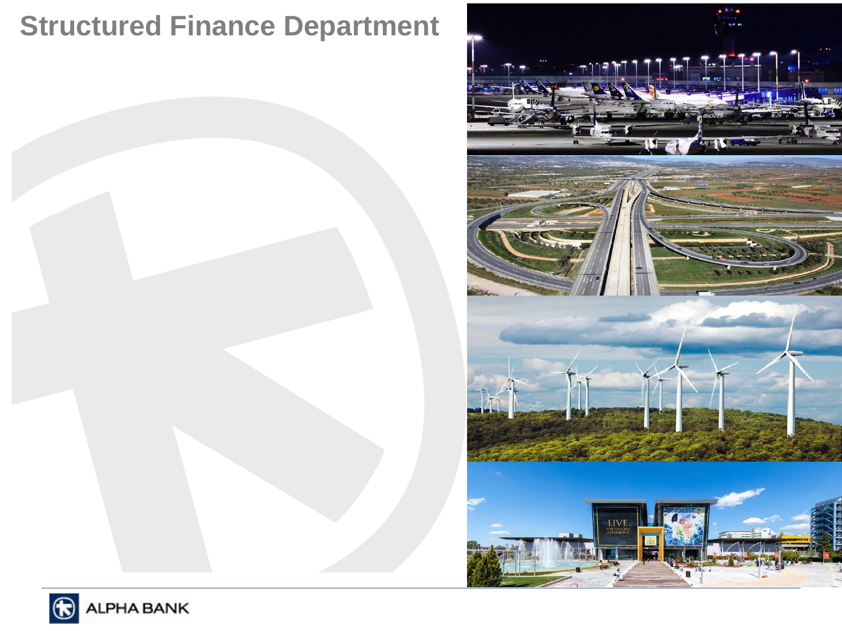# **Structured Finance Department**



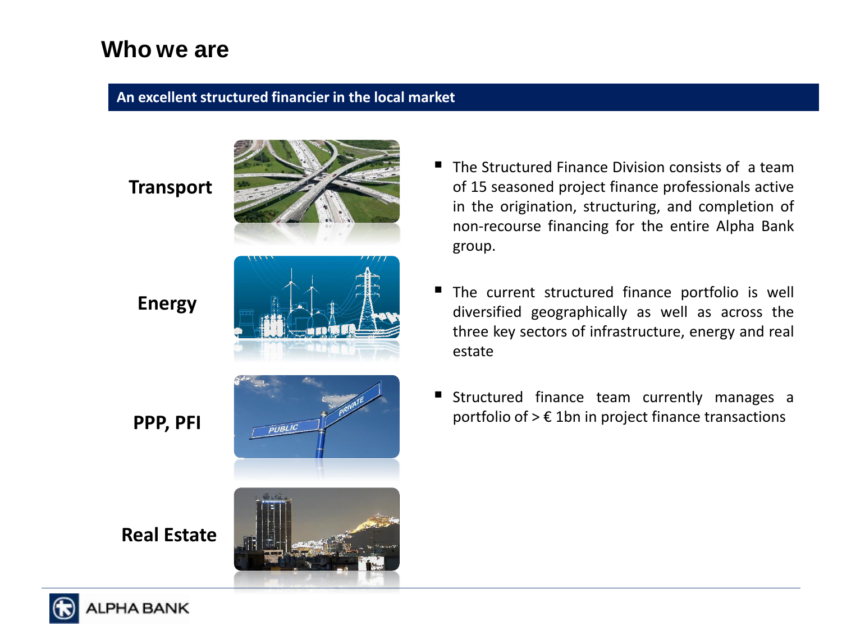### **Who we are**

#### **An excellent structured financier in the local market**

**Transport**



**Energy**



**PPP, PFI**

**Real Estate**



- $\blacksquare$  The Structured Finance Division consists of a team of 15 seasoned project finance professionals active in the origination, structuring, and completion of non-recourse financing for the entire Alpha Bank group.
- The current structured finance portfolio is well diversified geographically as well as across the three key sectors of infrastructure, energy and real estate
- Structured finance team currently manages a portfolio of  $> \epsilon$  1bn in project finance transactions

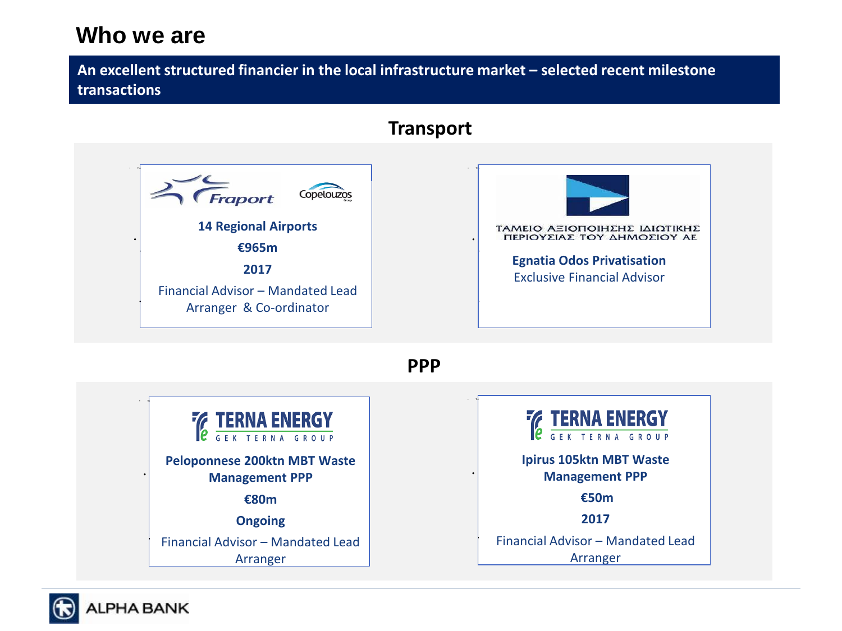### **Who we are**

**An excellent structured financier in the local infrastructure market – selected recent milestone transactions**

### **Transport**



**PPP**



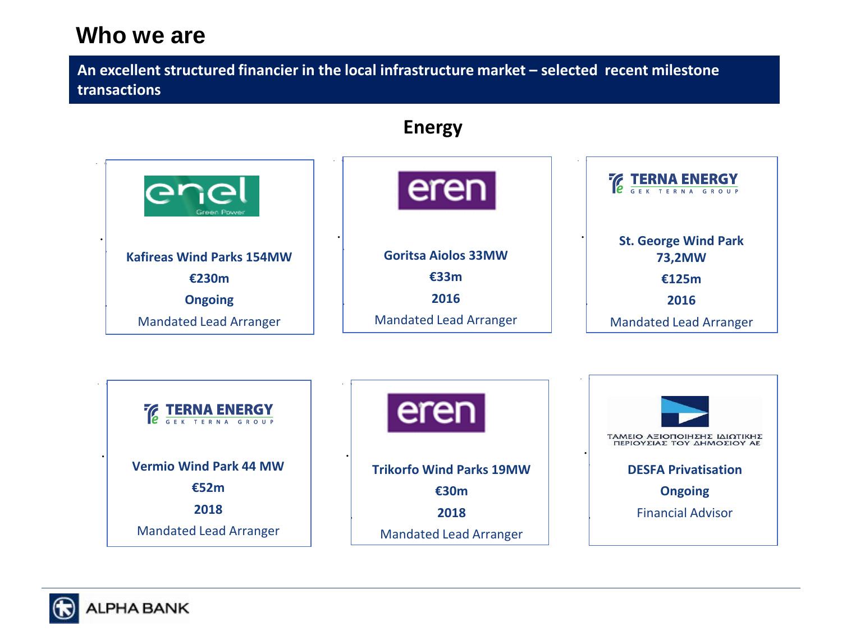### **Who we are**

**An excellent structured financier in the local infrastructure market – selected recent milestone transactions**



**Trikorfo Wind Parks 19MW** 

**€30m 2018** Mandated Lead Arranger

• Saudi Aramco.

**DESFA Privatisation**

**Ongoing**

• Saudi Aramco.

Financial Advisor



• Saudi Aramco.

**€52m 2018** Mandated Lead Arranger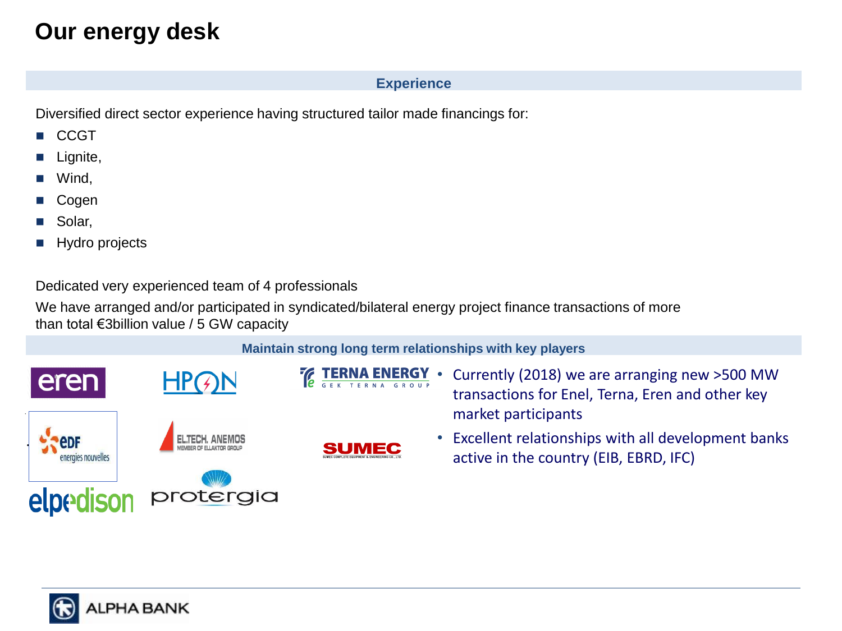## **Our energy desk**

#### **Experience**

Diversified direct sector experience having structured tailor made financings for:

- CCGT
- Lignite,
- Wind,
- Cogen
- Solar,
- Hydro projects

Dedicated very experienced team of 4 professionals

We have arranged and/or participated in syndicated/bilateral energy project finance transactions of more than total €3billion value / 5 GW capacity

#### **Maintain strong long term relationships with key players**



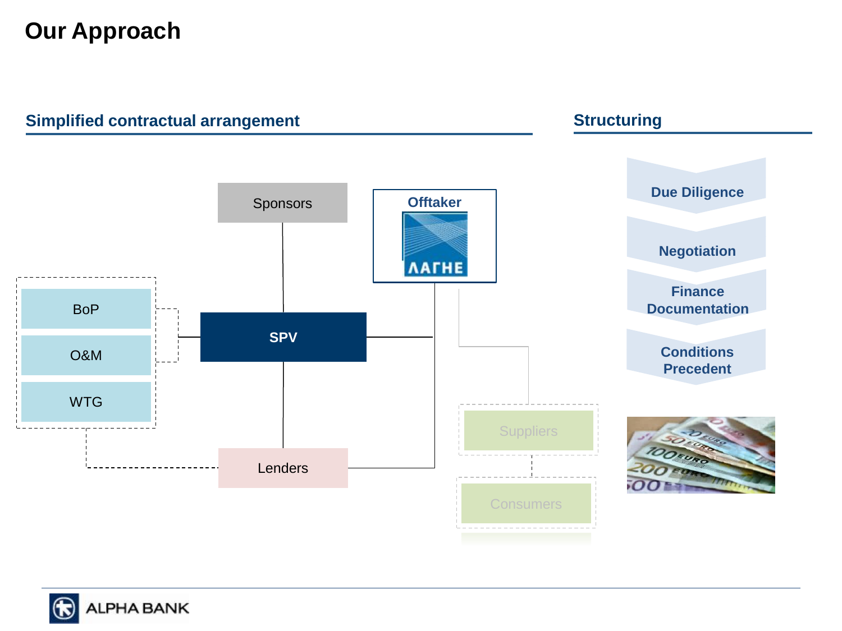## **Our Approach**



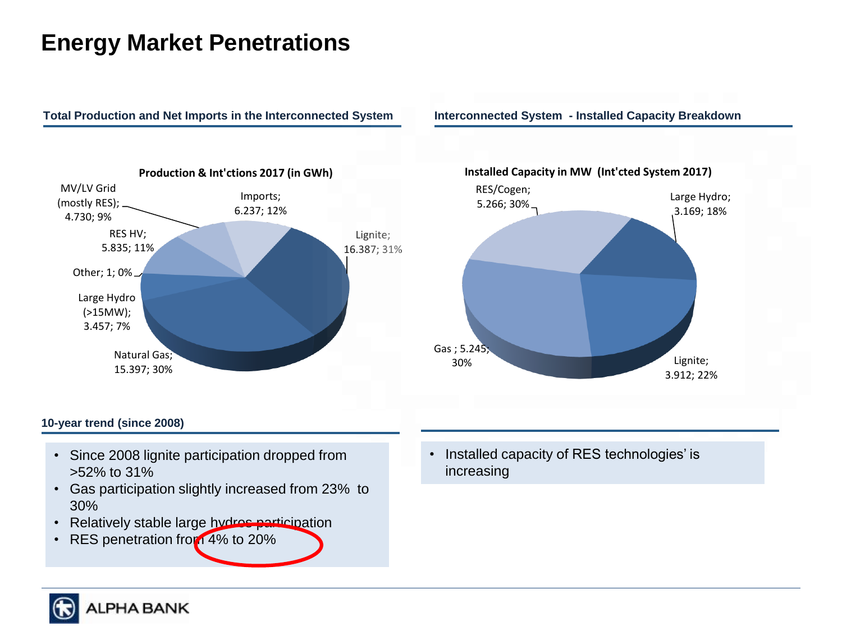## **Energy Market Penetrations**

#### **Total Production and Net Imports in the Interconnected System**

**Interconnected System - Installed Capacity Breakdown**





#### **10-year trend (since 2008)**

- Since 2008 lignite participation dropped from >52% to 31%
- Gas participation slightly increased from 23% to 30%
- Relatively stable large hydros participation
- RES penetration from 4% to 20%

• Installed capacity of RES technologies' is increasing

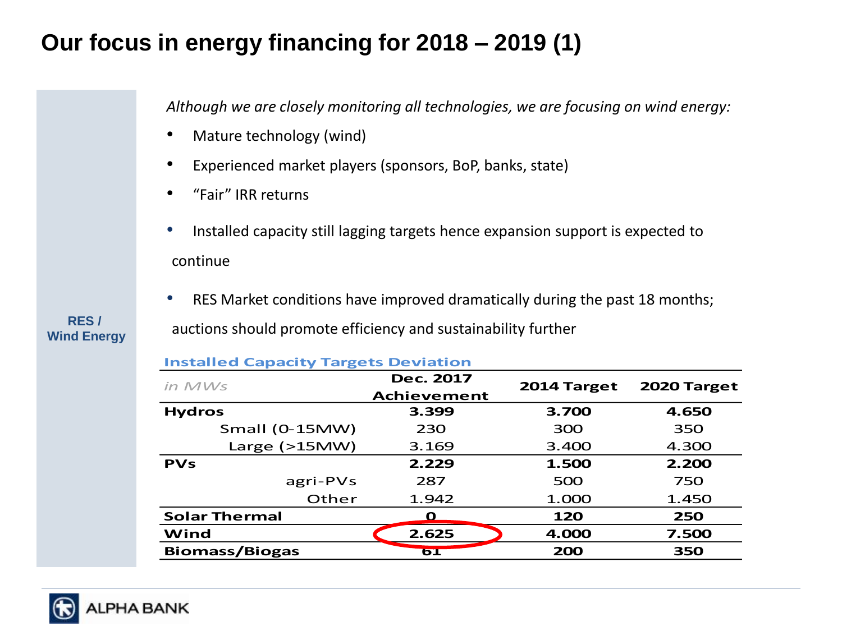### **Our focus in energy financing for 2018 – 2019 (1)**

*Although we are closely monitoring all technologies, we are focusing on wind energy:*

- Mature technology (wind)
- Experienced market players (sponsors, BoP, banks, state)

**Installed Capacity Targets Deviation**

- "Fair" IRR returns
- Installed capacity still lagging targets hence expansion support is expected to continue
- RES Market conditions have improved dramatically during the past 18 months; auctions should promote efficiency and sustainability further **RES /**

| <b>Installed Capacity Targets Deviation</b> |                                        |             |             |  |  |  |  |  |
|---------------------------------------------|----------------------------------------|-------------|-------------|--|--|--|--|--|
| $in$ $MWS$                                  | <b>Dec. 2017</b><br><b>Achievement</b> | 2014 Target | 2020 Target |  |  |  |  |  |
| <b>Hydros</b>                               | 3.399                                  | 3.700       | 4.650       |  |  |  |  |  |
| Small (0-15MW)                              | 230                                    | 300         | 350         |  |  |  |  |  |
| Large $(>15MW)$                             | 3.400<br>3.169                         |             | 4.300       |  |  |  |  |  |
| <b>PVs</b>                                  | 2.229                                  | 1.500       | 2.200       |  |  |  |  |  |
| agri-PVs                                    | 287                                    | 500         | 750         |  |  |  |  |  |
| Other                                       | 1.942                                  | 1.000       | 1.450       |  |  |  |  |  |
| <b>Solar Thermal</b>                        | O                                      | 120         | 250         |  |  |  |  |  |
| Wind                                        | 2.625                                  | 4.000       | 7.500       |  |  |  |  |  |
| <b>Biomass/Biogas</b>                       | <b>6T</b>                              | 200         | 350         |  |  |  |  |  |

### **Wind Energy**

### HA BANK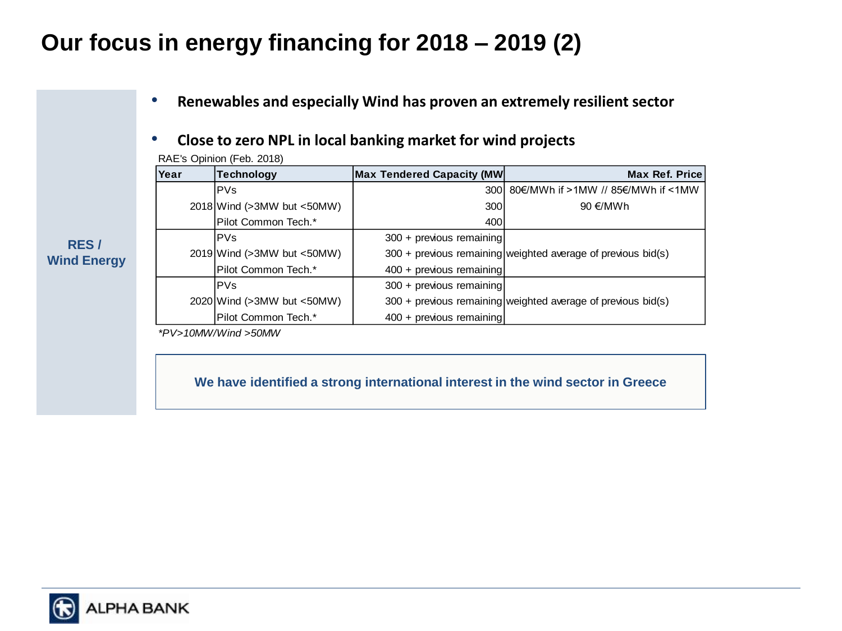## **Our focus in energy financing for 2018 – 2019 (2)**

#### • **Renewables and especially Wind has proven an extremely resilient sector**

### • **Close to zero NPL in local banking market for wind projects**

| $\overline{0}$ ivit. $\overline{0}$ optimon (i) cb. 2010/ |                                    |                                   |                                                                |  |  |  |  |
|-----------------------------------------------------------|------------------------------------|-----------------------------------|----------------------------------------------------------------|--|--|--|--|
| Year                                                      | <b>Technology</b>                  | <b>Max Tendered Capacity (MW)</b> | <b>Max Ref. Price</b>                                          |  |  |  |  |
|                                                           | <b>PVs</b>                         | 300 l                             | 80€/MWh if >1MW // 85€/MWh if <1MW                             |  |  |  |  |
|                                                           | $2018$ Wind ( $>3MW$ but $<50MW$ ) | 300                               | 90 €/MWh                                                       |  |  |  |  |
|                                                           | Pilot Common Tech.*                | 400                               |                                                                |  |  |  |  |
|                                                           | <b>PVs</b>                         | 300 + previous remaining          |                                                                |  |  |  |  |
|                                                           | $2019$ Wind ( $>3MW$ but $<50MW$ ) |                                   | $300 +$ previous remaining weighted average of previous bid(s) |  |  |  |  |
|                                                           | Pilot Common Tech.*                | 400 + previous remaining          |                                                                |  |  |  |  |
|                                                           | <b>PVs</b>                         | 300 + previous remaining          |                                                                |  |  |  |  |
|                                                           | 2020 Wind (>3MW but <50MW)         |                                   | 300 + previous remaining weighted average of previous bid(s)   |  |  |  |  |
|                                                           | Pilot Common Tech.*                | 400 + previous remaining          |                                                                |  |  |  |  |

RAE's Opinion (Feb. 2018)

*\*PV>10MW/Wind >50MW*

**We have identified a strong international interest in the wind sector in Greece**

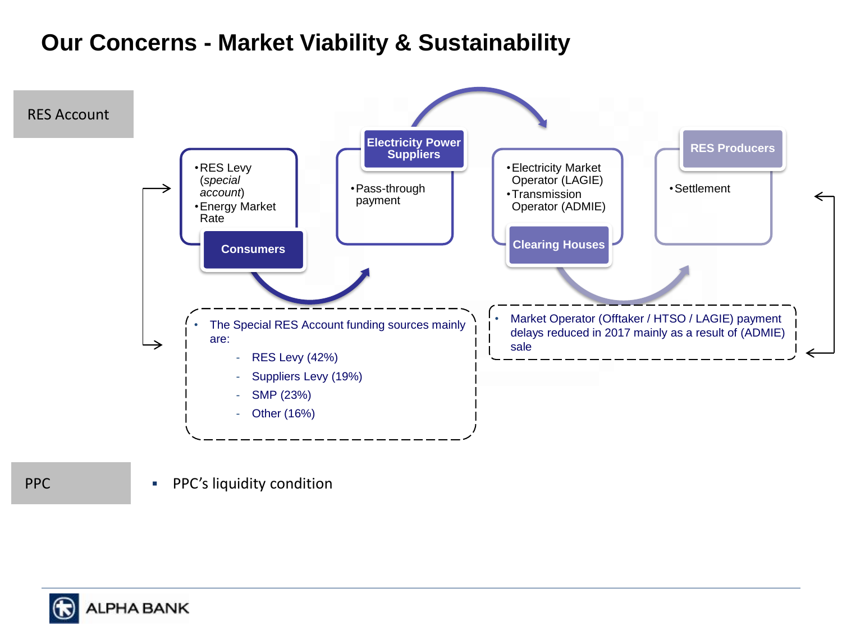### **Our Concerns - Market Viability & Sustainability**



PPC **PPC's liquidity condition** 

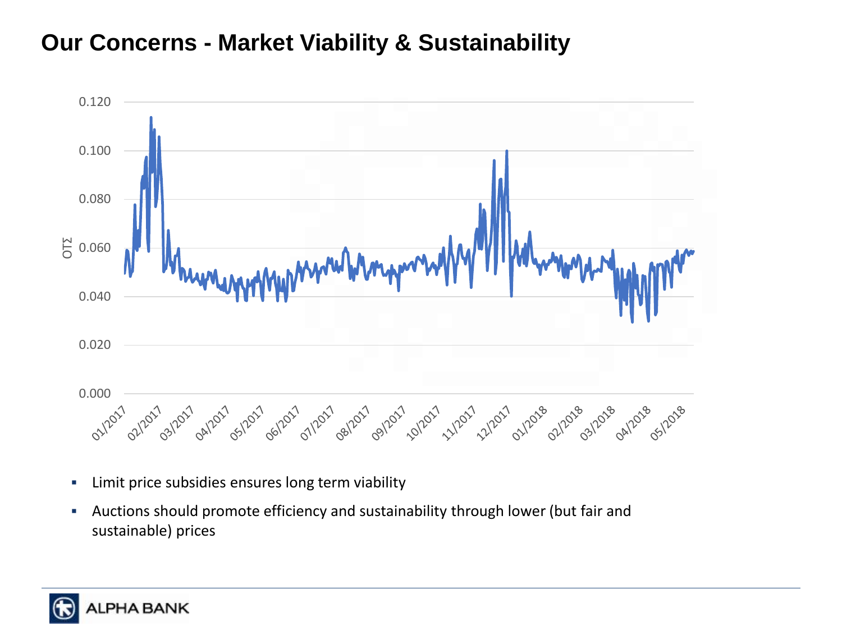### **Our Concerns - Market Viability & Sustainability**



- **EXEC** Limit price subsidies ensures long term viability
- **EXEDENT AUCTIONS Should promote efficiency and sustainability through lower (but fair and** sustainable) prices